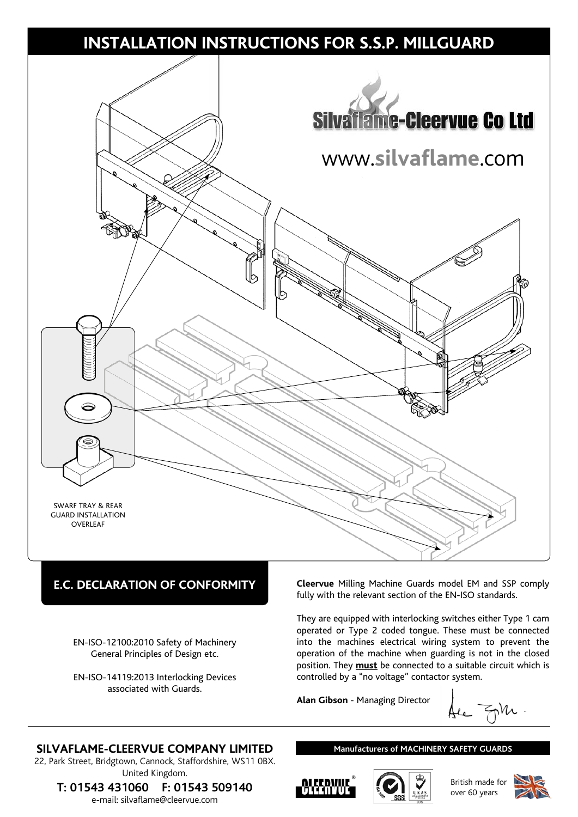

## **E.C. DECLARATION OF CONFORMITY**

EN-ISO-12100:2010 Safety of Machinery General Principles of Design etc.

EN-ISO-14119:2013 Interlocking Devices associated with Guards.

**Cleervue** Milling Machine Guards model EM and SSP comply fully with the relevant section of the EN-ISO standards.

They are equipped with interlocking switches either Type 1 cam operated or Type 2 coded tongue. These must be connected into the machines electrical wiring system to prevent the operation of the machine when guarding is not in the closed position. They **must** be connected to a suitable circuit which is controlled by a "no voltage" contactor system.

**Alan Gibson** - Managing Director

### **SILVAFLAME-CLEERVUE COMPANY LIMITED**

22, Park Street, Bridgtown, Cannock, Staffordshire, WS11 0BX. United Kingdom.

**T: 01543 431060 F: 01543 509140** e-mail: silvaflame@cleervue.com

#### **Manufacturers of MACHINERY SAFETY GUARDS**